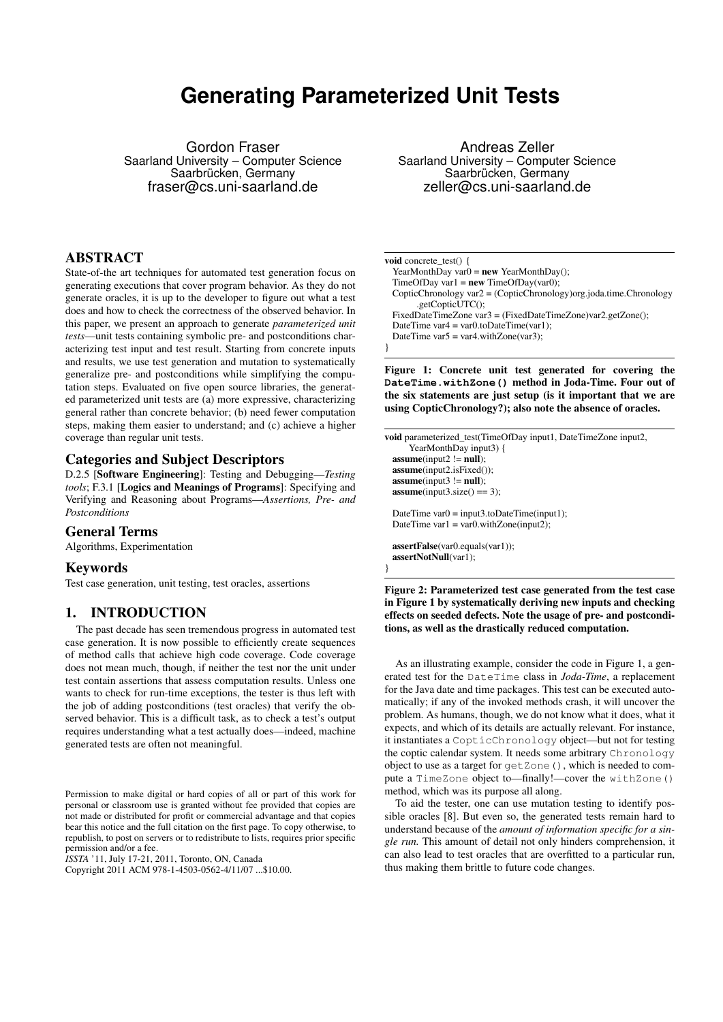# **Generating Parameterized Unit Tests**

Gordon Fraser Saarland University – Computer Science Saarbrücken, Germany fraser@cs.uni-saarland.de

# ABSTRACT

State-of-the art techniques for automated test generation focus on generating executions that cover program behavior. As they do not generate oracles, it is up to the developer to figure out what a test does and how to check the correctness of the observed behavior. In this paper, we present an approach to generate *parameterized unit tests*—unit tests containing symbolic pre- and postconditions characterizing test input and test result. Starting from concrete inputs and results, we use test generation and mutation to systematically generalize pre- and postconditions while simplifying the computation steps. Evaluated on five open source libraries, the generated parameterized unit tests are (a) more expressive, characterizing general rather than concrete behavior; (b) need fewer computation steps, making them easier to understand; and (c) achieve a higher coverage than regular unit tests.

## Categories and Subject Descriptors

D.2.5 [Software Engineering]: Testing and Debugging—*Testing tools*; F.3.1 [Logics and Meanings of Programs]: Specifying and Verifying and Reasoning about Programs—*Assertions, Pre- and Postconditions*

#### General Terms

Algorithms, Experimentation

#### Keywords

Test case generation, unit testing, test oracles, assertions

#### 1. INTRODUCTION

The past decade has seen tremendous progress in automated test case generation. It is now possible to efficiently create sequences of method calls that achieve high code coverage. Code coverage does not mean much, though, if neither the test nor the unit under test contain assertions that assess computation results. Unless one wants to check for run-time exceptions, the tester is thus left with the job of adding postconditions (test oracles) that verify the observed behavior. This is a difficult task, as to check a test's output requires understanding what a test actually does—indeed, machine generated tests are often not meaningful.

Permission to make digital or hard copies of all or part of this work for personal or classroom use is granted without fee provided that copies are not made or distributed for profit or commercial advantage and that copies bear this notice and the full citation on the first page. To copy otherwise, to republish, to post on servers or to redistribute to lists, requires prior specific permission and/or a fee.

*ISSTA* '11, July 17-21, 2011, Toronto, ON, Canada

Copyright 2011 ACM 978-1-4503-0562-4/11/07 ...\$10.00.

Andreas Zeller Saarland University – Computer Science Saarbrücken, Germany zeller@cs.uni-saarland.de

```
void concrete_test() {
 YearMonthDay var0 = new YearMonthDay();TimeOfDay var1 = new TimeOfDay(var0);CopticChronology var2 = (CopticChronology)org.joda.time.Chronology
       .getCopticUTC();
 FixedDateTimeZone var3 = (FixedDateTimeZone)var2.getZone();
 DateTime var4 = var0.toDateTime(var1);
 DateTime var5 = var4.withZone(var3);
}
```
Figure 1: Concrete unit test generated for covering the **DateTime.withZone()** method in Joda-Time. Four out of the six statements are just setup (is it important that we are using CopticChronology?); also note the absence of oracles.

```
void parameterized test(TimeOfDay input1, DateTimeZone input2,
    YearMonthDay input3) {

 assume(input2.isFixed());

 DateTime var0 = input3.toDateTime(input1);
 DateTime var1 = var0.withZone(input2);
```
assertFalse(var0.equals(var1)); assertNotNull(var1):

}

Figure 2: Parameterized test case generated from the test case in Figure 1 by systematically deriving new inputs and checking effects on seeded defects. Note the usage of pre- and postconditions, as well as the drastically reduced computation.

As an illustrating example, consider the code in Figure 1, a generated test for the DateTime class in *Joda-Time*, a replacement for the Java date and time packages. This test can be executed automatically; if any of the invoked methods crash, it will uncover the problem. As humans, though, we do not know what it does, what it expects, and which of its details are actually relevant. For instance, it instantiates a CopticChronology object—but not for testing the coptic calendar system. It needs some arbitrary Chronology object to use as a target for getZone(), which is needed to compute a TimeZone object to—finally!—cover the withZone() method, which was its purpose all along.

To aid the tester, one can use mutation testing to identify possible oracles [8]. But even so, the generated tests remain hard to understand because of the *amount of information specific for a single run.* This amount of detail not only hinders comprehension, it can also lead to test oracles that are overfitted to a particular run, thus making them brittle to future code changes.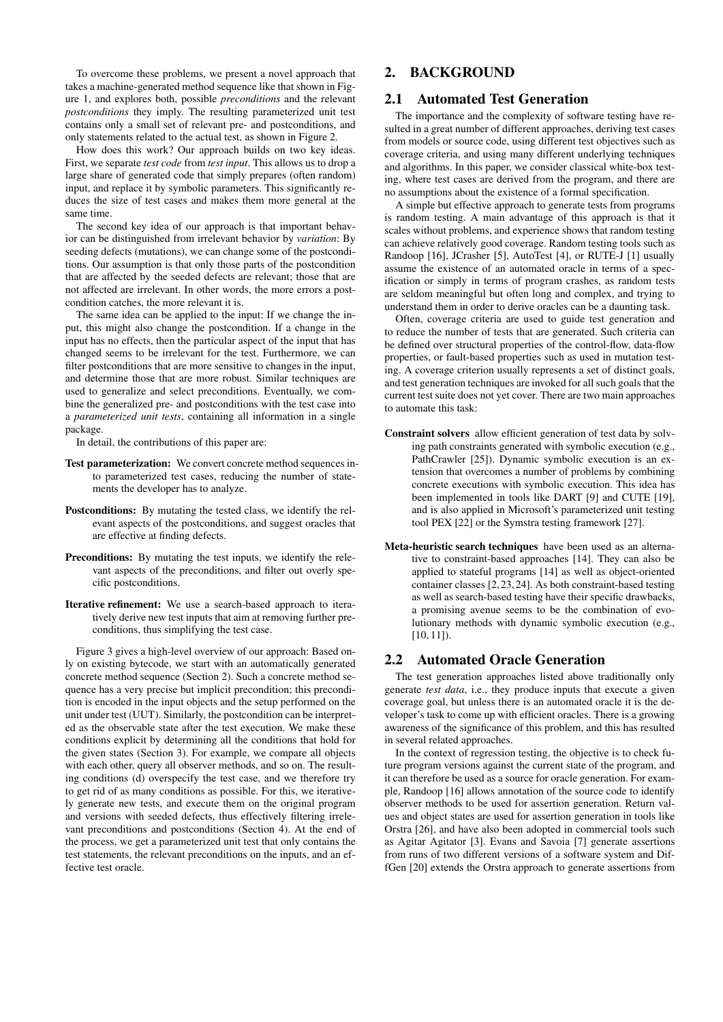To overcome these problems, we present a novel approach that takes a machine-generated method sequence like that shown in Figure 1, and explores both, possible *preconditions* and the relevant *postconditions* they imply. The resulting parameterized unit test contains only a small set of relevant pre- and postconditions, and only statements related to the actual test, as shown in Figure 2.

How does this work? Our approach builds on two key ideas. First, we separate *test code* from *test input*. This allows us to drop a large share of generated code that simply prepares (often random) input, and replace it by symbolic parameters. This significantly reduces the size of test cases and makes them more general at the same time.

The second key idea of our approach is that important behavior can be distinguished from irrelevant behavior by *variation*: By seeding defects (mutations), we can change some of the postconditions. Our assumption is that only those parts of the postcondition that are affected by the seeded defects are relevant; those that are not affected are irrelevant. In other words, the more errors a postcondition catches, the more relevant it is.

The same idea can be applied to the input: If we change the input, this might also change the postcondition. If a change in the input has no effects, then the particular aspect of the input that has changed seems to be irrelevant for the test. Furthermore, we can filter postconditions that are more sensitive to changes in the input, and determine those that are more robust. Similar techniques are used to generalize and select preconditions. Eventually, we combine the generalized pre- and postconditions with the test case into a *parameterized unit tests*, containing all information in a single package.

In detail, the contributions of this paper are:

- Test parameterization: We convert concrete method sequences into parameterized test cases, reducing the number of statements the developer has to analyze.
- Postconditions: By mutating the tested class, we identify the relevant aspects of the postconditions, and suggest oracles that are effective at finding defects.
- Preconditions: By mutating the test inputs, we identify the relevant aspects of the preconditions, and filter out overly specific postconditions.
- Iterative refinement: We use a search-based approach to iteratively derive new test inputs that aim at removing further preconditions, thus simplifying the test case.

Figure 3 gives a high-level overview of our approach: Based only on existing bytecode, we start with an automatically generated concrete method sequence (Section 2). Such a concrete method sequence has a very precise but implicit precondition; this precondition is encoded in the input objects and the setup performed on the unit under test (UUT). Similarly, the postcondition can be interpreted as the observable state after the test execution. We make these conditions explicit by determining all the conditions that hold for the given states (Section 3). For example, we compare all objects with each other, query all observer methods, and so on. The resulting conditions (d) overspecify the test case, and we therefore try to get rid of as many conditions as possible. For this, we iteratively generate new tests, and execute them on the original program and versions with seeded defects, thus effectively filtering irrelevant preconditions and postconditions (Section 4). At the end of the process, we get a parameterized unit test that only contains the test statements, the relevant preconditions on the inputs, and an effective test oracle.

# 2. BACKGROUND

## 2.1 Automated Test Generation

The importance and the complexity of software testing have resulted in a great number of different approaches, deriving test cases from models or source code, using different test objectives such as coverage criteria, and using many different underlying techniques and algorithms. In this paper, we consider classical white-box testing, where test cases are derived from the program, and there are no assumptions about the existence of a formal specification.

A simple but effective approach to generate tests from programs is random testing. A main advantage of this approach is that it scales without problems, and experience shows that random testing can achieve relatively good coverage. Random testing tools such as Randoop [16], JCrasher [5], AutoTest [4], or RUTE-J [1] usually assume the existence of an automated oracle in terms of a specification or simply in terms of program crashes, as random tests are seldom meaningful but often long and complex, and trying to understand them in order to derive oracles can be a daunting task.

Often, coverage criteria are used to guide test generation and to reduce the number of tests that are generated. Such criteria can be defined over structural properties of the control-flow, data-flow properties, or fault-based properties such as used in mutation testing. A coverage criterion usually represents a set of distinct goals, and test generation techniques are invoked for all such goals that the current test suite does not yet cover. There are two main approaches to automate this task:

- Constraint solvers allow efficient generation of test data by solving path constraints generated with symbolic execution (e.g., PathCrawler [25]). Dynamic symbolic execution is an extension that overcomes a number of problems by combining concrete executions with symbolic execution. This idea has been implemented in tools like DART [9] and CUTE [19], and is also applied in Microsoft's parameterized unit testing tool PEX [22] or the Symstra testing framework [27].
- Meta-heuristic search techniques have been used as an alternative to constraint-based approaches [14]. They can also be applied to stateful programs [14] as well as object-oriented container classes [2, 23, 24]. As both constraint-based testing as well as search-based testing have their specific drawbacks, a promising avenue seems to be the combination of evolutionary methods with dynamic symbolic execution (e.g.,  $[10, 11]$ .

#### 2.2 Automated Oracle Generation

The test generation approaches listed above traditionally only generate *test data*, i.e., they produce inputs that execute a given coverage goal, but unless there is an automated oracle it is the developer's task to come up with efficient oracles. There is a growing awareness of the significance of this problem, and this has resulted in several related approaches.

In the context of regression testing, the objective is to check future program versions against the current state of the program, and it can therefore be used as a source for oracle generation. For example, Randoop [16] allows annotation of the source code to identify observer methods to be used for assertion generation. Return values and object states are used for assertion generation in tools like Orstra [26], and have also been adopted in commercial tools such as Agitar Agitator [3]. Evans and Savoia [7] generate assertions from runs of two different versions of a software system and DiffGen [20] extends the Orstra approach to generate assertions from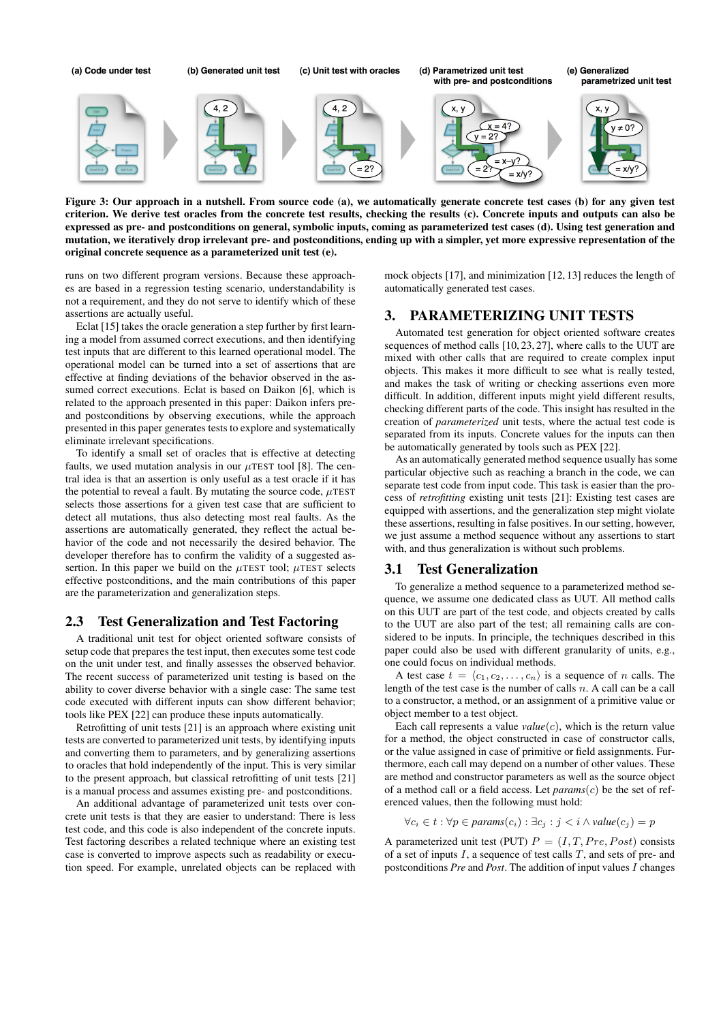

Figure 3: Our approach in a nutshell. From source code (a), we automatically generate concrete test cases (b) for any given test criterion. We derive test oracles from the concrete test results, checking the results (c). Concrete inputs and outputs can also be expressed as pre- and postconditions on general, symbolic inputs, coming as parameterized test cases (d). Using test generation and mutation, we iteratively drop irrelevant pre- and postconditions, ending up with a simpler, yet more expressive representation of the original concrete sequence as a parameterized unit test (e).

runs on two different program versions. Because these approaches are based in a regression testing scenario, understandability is not a requirement, and they do not serve to identify which of these assertions are actually useful.

Eclat [15] takes the oracle generation a step further by first learning a model from assumed correct executions, and then identifying test inputs that are different to this learned operational model. The operational model can be turned into a set of assertions that are effective at finding deviations of the behavior observed in the assumed correct executions. Eclat is based on Daikon [6], which is related to the approach presented in this paper: Daikon infers preand postconditions by observing executions, while the approach presented in this paper generates tests to explore and systematically eliminate irrelevant specifications.

To identify a small set of oracles that is effective at detecting faults, we used mutation analysis in our  $\mu$ TEST tool [8]. The central idea is that an assertion is only useful as a test oracle if it has the potential to reveal a fault. By mutating the source code,  $\mu$ TEST selects those assertions for a given test case that are sufficient to detect all mutations, thus also detecting most real faults. As the assertions are automatically generated, they reflect the actual behavior of the code and not necessarily the desired behavior. The developer therefore has to confirm the validity of a suggested assertion. In this paper we build on the  $\mu$ TEST tool;  $\mu$ TEST selects effective postconditions, and the main contributions of this paper are the parameterization and generalization steps.

#### 2.3 Test Generalization and Test Factoring

A traditional unit test for object oriented software consists of setup code that prepares the test input, then executes some test code on the unit under test, and finally assesses the observed behavior. The recent success of parameterized unit testing is based on the ability to cover diverse behavior with a single case: The same test code executed with different inputs can show different behavior; tools like PEX [22] can produce these inputs automatically.

Retrofitting of unit tests [21] is an approach where existing unit tests are converted to parameterized unit tests, by identifying inputs and converting them to parameters, and by generalizing assertions to oracles that hold independently of the input. This is very similar to the present approach, but classical retrofitting of unit tests [21] is a manual process and assumes existing pre- and postconditions.

An additional advantage of parameterized unit tests over concrete unit tests is that they are easier to understand: There is less test code, and this code is also independent of the concrete inputs. Test factoring describes a related technique where an existing test case is converted to improve aspects such as readability or execution speed. For example, unrelated objects can be replaced with

mock objects [17], and minimization [12, 13] reduces the length of automatically generated test cases.

# 3. PARAMETERIZING UNIT TESTS

Automated test generation for object oriented software creates sequences of method calls [10, 23, 27], where calls to the UUT are mixed with other calls that are required to create complex input objects. This makes it more difficult to see what is really tested, and makes the task of writing or checking assertions even more difficult. In addition, different inputs might yield different results, checking different parts of the code. This insight has resulted in the creation of *parameterized* unit tests, where the actual test code is separated from its inputs. Concrete values for the inputs can then be automatically generated by tools such as PEX [22].

As an automatically generated method sequence usually has some particular objective such as reaching a branch in the code, we can separate test code from input code. This task is easier than the process of *retrofitting* existing unit tests [21]: Existing test cases are equipped with assertions, and the generalization step might violate these assertions, resulting in false positives. In our setting, however, we just assume a method sequence without any assertions to start with, and thus generalization is without such problems.

## 3.1 Test Generalization

To generalize a method sequence to a parameterized method sequence, we assume one dedicated class as UUT. All method calls on this UUT are part of the test code, and objects created by calls to the UUT are also part of the test; all remaining calls are considered to be inputs. In principle, the techniques described in this paper could also be used with different granularity of units, e.g., one could focus on individual methods.

A test case  $t = \langle c_1, c_2, \ldots, c_n \rangle$  is a sequence of n calls. The length of the test case is the number of calls  $n$ . A call can be a call to a constructor, a method, or an assignment of a primitive value or object member to a test object.

Each call represents a value  $value(c)$ , which is the return value for a method, the object constructed in case of constructor calls, or the value assigned in case of primitive or field assignments. Furthermore, each call may depend on a number of other values. These are method and constructor parameters as well as the source object of a method call or a field access. Let *params*(c) be the set of referenced values, then the following must hold:

 $∀c_i \in t : ∀p ∈ params(c_i) : ∃c_j : j < i ∧ value(c_i) = p$ 

A parameterized unit test (PUT)  $P = (I, T, Pre, Post)$  consists of a set of inputs  $I$ , a sequence of test calls  $T$ , and sets of pre- and postconditions *Pre* and *Post*. The addition of input values I changes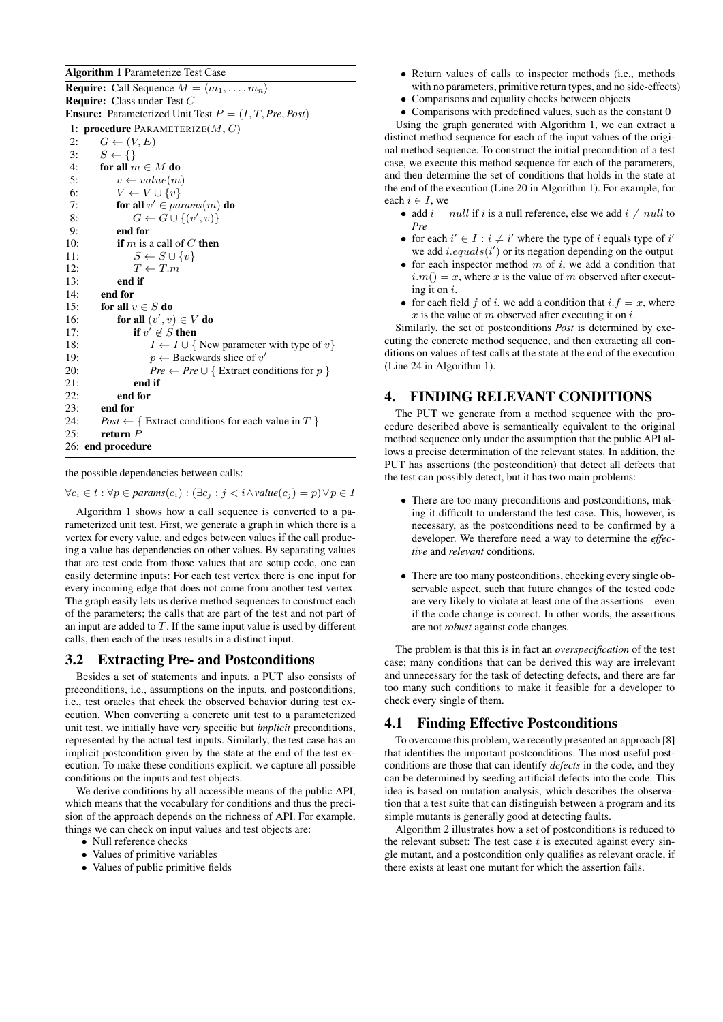| <b>Algorithm 1 Parameterize Test Case</b> |  |
|-------------------------------------------|--|
|-------------------------------------------|--|

| <b>Require:</b> Call Sequence $M = \langle m_1, \ldots, m_n \rangle$    |
|-------------------------------------------------------------------------|
| Require: Class under Test C                                             |
| <b>Ensure:</b> Parameterized Unit Test $P = (I, T, Pre, Post)$          |
| 1: procedure PARAMETERIZE( $M, C$ )                                     |
| $G \leftarrow (V, E)$<br>2:                                             |
| $S \leftarrow \{\}$<br>3:                                               |
| 4:<br>for all $m \in M$ do                                              |
| 5:<br>$v \leftarrow value(m)$                                           |
| 6:<br>$V \leftarrow V \cup \{v\}$                                       |
| for all $v' \in params(m)$ do<br>7:                                     |
| $G \leftarrow G \cup \{(v', v)\}\$<br>8:                                |
| end for<br>9:                                                           |
| <b>if</b> m is a call of C <b>then</b><br>10:                           |
| $S \leftarrow S \cup \{v\}$<br>11:                                      |
| $T \leftarrow T.m$<br>12:                                               |
| end if<br>13:                                                           |
| end for<br>14:                                                          |
| for all $v \in S$ do<br>15:                                             |
| for all $(v', v) \in V$ do<br>16:                                       |
| if $v' \notin S$ then<br>17:                                            |
| $I \leftarrow I \cup \{$ New parameter with type of $v\}$<br>18:        |
| $p \leftarrow$ Backwards slice of $v'$<br>19:                           |
| 20:<br>$Pre \leftarrow Pre \cup \{$ Extract conditions for p \}         |
| 21:<br>end if                                                           |
| end for<br>22:                                                          |
| 23:<br>end for                                                          |
| 24:<br>$Post \leftarrow \{$ Extract conditions for each value in T $\}$ |
| return $P$<br>25:                                                       |
| 26: end procedure                                                       |
|                                                                         |

the possible dependencies between calls:

 $\forall c_i \in t : \forall p \in \text{params}(c_i) : (\exists c_j : j < i \land \text{value}(c_j) = p) \lor p \in I$ 

Algorithm 1 shows how a call sequence is converted to a parameterized unit test. First, we generate a graph in which there is a vertex for every value, and edges between values if the call producing a value has dependencies on other values. By separating values that are test code from those values that are setup code, one can easily determine inputs: For each test vertex there is one input for every incoming edge that does not come from another test vertex. The graph easily lets us derive method sequences to construct each of the parameters; the calls that are part of the test and not part of an input are added to  $T$ . If the same input value is used by different calls, then each of the uses results in a distinct input.

#### 3.2 Extracting Pre- and Postconditions

Besides a set of statements and inputs, a PUT also consists of preconditions, i.e., assumptions on the inputs, and postconditions, i.e., test oracles that check the observed behavior during test execution. When converting a concrete unit test to a parameterized unit test, we initially have very specific but *implicit* preconditions, represented by the actual test inputs. Similarly, the test case has an implicit postcondition given by the state at the end of the test execution. To make these conditions explicit, we capture all possible conditions on the inputs and test objects.

We derive conditions by all accessible means of the public API, which means that the vocabulary for conditions and thus the precision of the approach depends on the richness of API. For example, things we can check on input values and test objects are:

- Null reference checks
- Values of primitive variables
- Values of public primitive fields
- Return values of calls to inspector methods (i.e., methods with no parameters, primitive return types, and no side-effects)
- Comparisons and equality checks between objects

• Comparisons with predefined values, such as the constant 0 Using the graph generated with Algorithm 1, we can extract a distinct method sequence for each of the input values of the original method sequence. To construct the initial precondition of a test case, we execute this method sequence for each of the parameters, and then determine the set of conditions that holds in the state at the end of the execution (Line 20 in Algorithm 1). For example, for each  $i \in I$ , we

- add  $i = null$  if i is a null reference, else we add  $i \neq null$  to *Pre*
- for each  $i' \in I : i \neq i'$  where the type of i equals type of i we add  $i.equals(i')$  or its negation depending on the output
- for each inspector method  $m$  of  $i$ , we add a condition that  $i.m() = x$ , where x is the value of m observed after executing it on i.
- for each field f of i, we add a condition that  $i.f = x$ , where  $x$  is the value of  $m$  observed after executing it on  $i$ .

Similarly, the set of postconditions *Post* is determined by executing the concrete method sequence, and then extracting all conditions on values of test calls at the state at the end of the execution (Line 24 in Algorithm 1).

# 4. FINDING RELEVANT CONDITIONS

The PUT we generate from a method sequence with the procedure described above is semantically equivalent to the original method sequence only under the assumption that the public API allows a precise determination of the relevant states. In addition, the PUT has assertions (the postcondition) that detect all defects that the test can possibly detect, but it has two main problems:

- There are too many preconditions and postconditions, making it difficult to understand the test case. This, however, is necessary, as the postconditions need to be confirmed by a developer. We therefore need a way to determine the *effective* and *relevant* conditions.
- There are too many postconditions, checking every single observable aspect, such that future changes of the tested code are very likely to violate at least one of the assertions – even if the code change is correct. In other words, the assertions are not *robust* against code changes.

The problem is that this is in fact an *overspecification* of the test case; many conditions that can be derived this way are irrelevant and unnecessary for the task of detecting defects, and there are far too many such conditions to make it feasible for a developer to check every single of them.

#### 4.1 Finding Effective Postconditions

To overcome this problem, we recently presented an approach [8] that identifies the important postconditions: The most useful postconditions are those that can identify *defects* in the code, and they can be determined by seeding artificial defects into the code. This idea is based on mutation analysis, which describes the observation that a test suite that can distinguish between a program and its simple mutants is generally good at detecting faults.

Algorithm 2 illustrates how a set of postconditions is reduced to the relevant subset: The test case  $t$  is executed against every single mutant, and a postcondition only qualifies as relevant oracle, if there exists at least one mutant for which the assertion fails.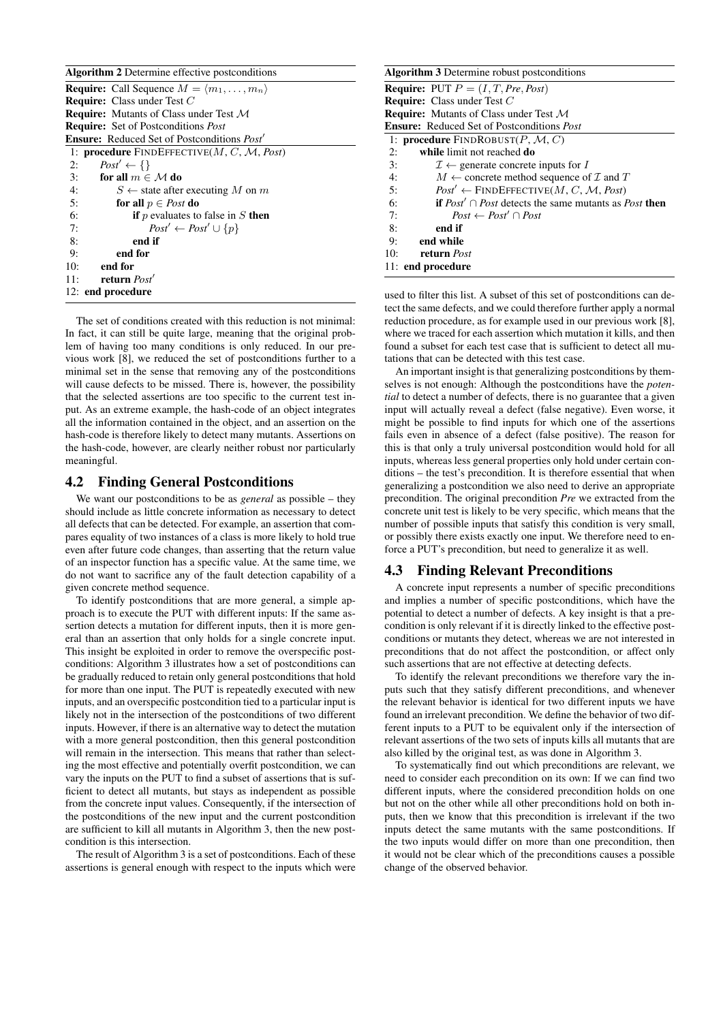| Algorithm 2 Determine effective postconditions                       |
|----------------------------------------------------------------------|
| <b>Require:</b> Call Sequence $M = \langle m_1, \ldots, m_n \rangle$ |
| <b>Require:</b> Class under Test $C$                                 |
| <b>Require:</b> Mutants of Class under Test $\mathcal M$             |
| <b>Require:</b> Set of Postconditions <i>Post</i>                    |
| <b>Ensure:</b> Reduced Set of Postconditions <i>Post</i>             |
| 1: <b>procedure</b> FINDEFFECTIVE(M, C, M, Post)                     |
| $Post' \leftarrow \{\}$<br>2:                                        |
| for all $m \in \mathcal{M}$ do<br>3:                                 |
| 4:<br>$S \leftarrow$ state after executing M on m                    |
| 5:<br>for all $p \in Post$ do                                        |
| 6:<br>if p evaluates to false in $S$ then                            |
| $Post' \leftarrow Post' \cup \{p\}$<br>7:                            |
| 8:<br>end if                                                         |
| 9:<br>end for                                                        |
| 10:<br>end for                                                       |
| return $Post'$<br>11:                                                |
| 12: end procedure                                                    |

The set of conditions created with this reduction is not minimal: In fact, it can still be quite large, meaning that the original problem of having too many conditions is only reduced. In our previous work [8], we reduced the set of postconditions further to a minimal set in the sense that removing any of the postconditions will cause defects to be missed. There is, however, the possibility that the selected assertions are too specific to the current test input. As an extreme example, the hash-code of an object integrates all the information contained in the object, and an assertion on the hash-code is therefore likely to detect many mutants. Assertions on the hash-code, however, are clearly neither robust nor particularly meaningful.

## 4.2 Finding General Postconditions

We want our postconditions to be as *general* as possible – they should include as little concrete information as necessary to detect all defects that can be detected. For example, an assertion that compares equality of two instances of a class is more likely to hold true even after future code changes, than asserting that the return value of an inspector function has a specific value. At the same time, we do not want to sacrifice any of the fault detection capability of a given concrete method sequence.

To identify postconditions that are more general, a simple approach is to execute the PUT with different inputs: If the same assertion detects a mutation for different inputs, then it is more general than an assertion that only holds for a single concrete input. This insight be exploited in order to remove the overspecific postconditions: Algorithm 3 illustrates how a set of postconditions can be gradually reduced to retain only general postconditions that hold for more than one input. The PUT is repeatedly executed with new inputs, and an overspecific postcondition tied to a particular input is likely not in the intersection of the postconditions of two different inputs. However, if there is an alternative way to detect the mutation with a more general postcondition, then this general postcondition will remain in the intersection. This means that rather than selecting the most effective and potentially overfit postcondition, we can vary the inputs on the PUT to find a subset of assertions that is sufficient to detect all mutants, but stays as independent as possible from the concrete input values. Consequently, if the intersection of the postconditions of the new input and the current postcondition are sufficient to kill all mutants in Algorithm 3, then the new postcondition is this intersection.

The result of Algorithm 3 is a set of postconditions. Each of these assertions is general enough with respect to the inputs which were

| <b>Algorithm 3</b> Determine robust postconditions                      |
|-------------------------------------------------------------------------|
| <b>Require:</b> PUT $P = (I, T, Pre, Post)$                             |
| <b>Require:</b> Class under Test $C$                                    |
| <b>Require:</b> Mutants of Class under Test $M$                         |
| <b>Ensure:</b> Reduced Set of Postconditions <i>Post</i>                |
| 1: <b>procedure</b> FINDROBUST( $P, M, C$ )                             |
| while limit not reached do<br>2:                                        |
| 3:<br>$\mathcal{I} \leftarrow$ generate concrete inputs for I           |
| 4:<br>$M \leftarrow$ concrete method sequence of $\mathcal I$ and $T$   |
| 5:<br>$Post' \leftarrow$ FINDEFFECTIVE(M, C, M, Post)                   |
| 6:<br>if $Post' \cap Post$ detects the same mutants as <i>Post</i> then |
| $Post \leftarrow Post' \cap Post$<br>7:                                 |
| end if<br>8:                                                            |
| 9:<br>end while                                                         |
| 10:<br>return Post                                                      |
| 11: end procedure                                                       |

used to filter this list. A subset of this set of postconditions can detect the same defects, and we could therefore further apply a normal reduction procedure, as for example used in our previous work [8], where we traced for each assertion which mutation it kills, and then found a subset for each test case that is sufficient to detect all mutations that can be detected with this test case.

An important insight is that generalizing postconditions by themselves is not enough: Although the postconditions have the *potential* to detect a number of defects, there is no guarantee that a given input will actually reveal a defect (false negative). Even worse, it might be possible to find inputs for which one of the assertions fails even in absence of a defect (false positive). The reason for this is that only a truly universal postcondition would hold for all inputs, whereas less general properties only hold under certain conditions – the test's precondition. It is therefore essential that when generalizing a postcondition we also need to derive an appropriate precondition. The original precondition *Pre* we extracted from the concrete unit test is likely to be very specific, which means that the number of possible inputs that satisfy this condition is very small, or possibly there exists exactly one input. We therefore need to enforce a PUT's precondition, but need to generalize it as well.

## 4.3 Finding Relevant Preconditions

A concrete input represents a number of specific preconditions and implies a number of specific postconditions, which have the potential to detect a number of defects. A key insight is that a precondition is only relevant if it is directly linked to the effective postconditions or mutants they detect, whereas we are not interested in preconditions that do not affect the postcondition, or affect only such assertions that are not effective at detecting defects.

To identify the relevant preconditions we therefore vary the inputs such that they satisfy different preconditions, and whenever the relevant behavior is identical for two different inputs we have found an irrelevant precondition. We define the behavior of two different inputs to a PUT to be equivalent only if the intersection of relevant assertions of the two sets of inputs kills all mutants that are also killed by the original test, as was done in Algorithm 3.

To systematically find out which preconditions are relevant, we need to consider each precondition on its own: If we can find two different inputs, where the considered precondition holds on one but not on the other while all other preconditions hold on both inputs, then we know that this precondition is irrelevant if the two inputs detect the same mutants with the same postconditions. If the two inputs would differ on more than one precondition, then it would not be clear which of the preconditions causes a possible change of the observed behavior.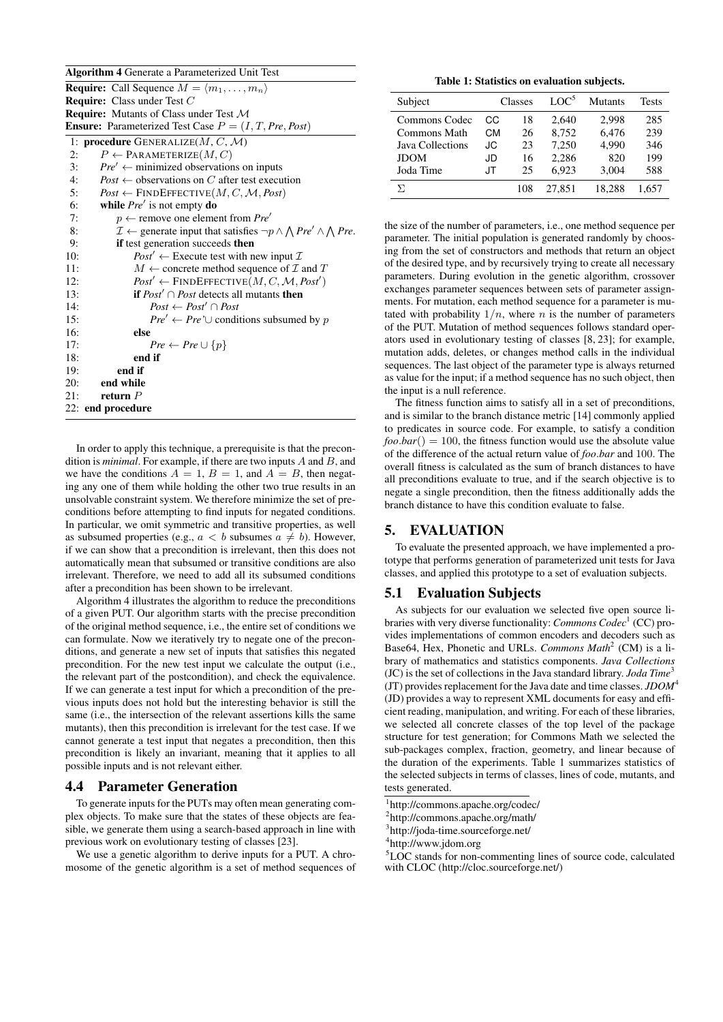| Algorithm 4 Generate a Parameterized Unit Test                                                                   |
|------------------------------------------------------------------------------------------------------------------|
| <b>Require:</b> Call Sequence $M = \langle m_1, \ldots, m_n \rangle$                                             |
| Require: Class under Test C                                                                                      |
| <b>Require:</b> Mutants of Class under Test $M$                                                                  |
| <b>Ensure:</b> Parameterized Test Case $P = (I, T, Pre, Post)$                                                   |
| 1: procedure GENERALIZE(M, C, M)                                                                                 |
| 2:<br>$P \leftarrow$ PARAMETERIZE $(M, C)$                                                                       |
| $Pre' \leftarrow$ minimized observations on inputs<br>3:                                                         |
| 4:<br>$Post \leftarrow$ observations on C after test execution                                                   |
| 5:<br>$Post \leftarrow$ FINDEFFECTIVE $(M, C, \mathcal{M}, Post)$                                                |
| 6:<br>while $Pre'$ is not empty do                                                                               |
| 7:<br>$p \leftarrow$ remove one element from Pre'                                                                |
| 8:<br>$\mathcal{I} \leftarrow$ generate input that satisfies $\neg p \land \bigwedge Pre' \land \bigwedge Pre$ . |
| if test generation succeeds then<br>9:                                                                           |
| $Post' \leftarrow$ Execute test with new input $\mathcal{I}$<br>10:                                              |
| 11:<br>$M \leftarrow$ concrete method sequence of $\mathcal I$ and $T$                                           |
| $Post' \leftarrow$ FINDEFFECTIVE $(M, C, \mathcal{M}, Post')$<br>12:                                             |
| <b>if</b> $Post' \cap Post$ detects all mutants <b>then</b><br>13:                                               |
| $Post \leftarrow Post' \cap Post$<br>14:                                                                         |
| $Pre' \leftarrow Pre' \cup$ conditions subsumed by p<br>15:                                                      |
| 16:<br>else                                                                                                      |
| 17:<br>$Pre \leftarrow Pre \cup \{p\}$                                                                           |
| 18:<br>end if                                                                                                    |
| end if<br>19:                                                                                                    |
| 20:<br>end while                                                                                                 |
| 21:<br>return $P$                                                                                                |
| 22: end procedure                                                                                                |

In order to apply this technique, a prerequisite is that the precondition is *minimal*. For example, if there are two inputs A and B, and we have the conditions  $A = 1$ ,  $B = 1$ , and  $A = B$ , then negating any one of them while holding the other two true results in an unsolvable constraint system. We therefore minimize the set of preconditions before attempting to find inputs for negated conditions. In particular, we omit symmetric and transitive properties, as well as subsumed properties (e.g.,  $a < b$  subsumes  $a \neq b$ ). However, if we can show that a precondition is irrelevant, then this does not automatically mean that subsumed or transitive conditions are also irrelevant. Therefore, we need to add all its subsumed conditions after a precondition has been shown to be irrelevant.

Algorithm 4 illustrates the algorithm to reduce the preconditions of a given PUT. Our algorithm starts with the precise precondition of the original method sequence, i.e., the entire set of conditions we can formulate. Now we iteratively try to negate one of the preconditions, and generate a new set of inputs that satisfies this negated precondition. For the new test input we calculate the output (i.e., the relevant part of the postcondition), and check the equivalence. If we can generate a test input for which a precondition of the previous inputs does not hold but the interesting behavior is still the same (i.e., the intersection of the relevant assertions kills the same mutants), then this precondition is irrelevant for the test case. If we cannot generate a test input that negates a precondition, then this precondition is likely an invariant, meaning that it applies to all possible inputs and is not relevant either.

#### 4.4 Parameter Generation

To generate inputs for the PUTs may often mean generating complex objects. To make sure that the states of these objects are feasible, we generate them using a search-based approach in line with previous work on evolutionary testing of classes [23].

We use a genetic algorithm to derive inputs for a PUT. A chromosome of the genetic algorithm is a set of method sequences of

Table 1: Statistics on evaluation subjects.

| Subject          |     | Classes | LOC <sup>5</sup> | Mutants | <b>Tests</b> |
|------------------|-----|---------|------------------|---------|--------------|
| Commons Codec    | CC. | 18      | 2.640            | 2.998   | 285          |
| Commons Math     | CМ  | 26      | 8.752            | 6.476   | 239          |
| Java Collections | JС  | 23      | 7.250            | 4.990   | 346          |
| <b>JDOM</b>      | JD  | 16      | 2.286            | 820     | 199          |
| Joda Time        | .IT | 25      | 6.923            | 3.004   | 588          |
| У.               |     | 108     | 27.851           | 18.288  | 1.657        |

the size of the number of parameters, i.e., one method sequence per parameter. The initial population is generated randomly by choosing from the set of constructors and methods that return an object of the desired type, and by recursively trying to create all necessary parameters. During evolution in the genetic algorithm, crossover exchanges parameter sequences between sets of parameter assignments. For mutation, each method sequence for a parameter is mutated with probability  $1/n$ , where n is the number of parameters of the PUT. Mutation of method sequences follows standard operators used in evolutionary testing of classes [8, 23]; for example, mutation adds, deletes, or changes method calls in the individual sequences. The last object of the parameter type is always returned as value for the input; if a method sequence has no such object, then the input is a null reference.

The fitness function aims to satisfy all in a set of preconditions, and is similar to the branch distance metric [14] commonly applied to predicates in source code. For example, to satisfy a condition  $foo$ *bar*() = 100, the fitness function would use the absolute value of the difference of the actual return value of *foo*.*bar* and 100. The overall fitness is calculated as the sum of branch distances to have all preconditions evaluate to true, and if the search objective is to negate a single precondition, then the fitness additionally adds the branch distance to have this condition evaluate to false.

## 5. EVALUATION

To evaluate the presented approach, we have implemented a prototype that performs generation of parameterized unit tests for Java classes, and applied this prototype to a set of evaluation subjects.

#### 5.1 Evaluation Subjects

As subjects for our evaluation we selected five open source libraries with very diverse functionality: *Commons Codec*<sup>1</sup> (CC) provides implementations of common encoders and decoders such as Base64, Hex, Phonetic and URLs. *Commons Math*<sup>2</sup> (CM) is a library of mathematics and statistics components. *Java Collections* (JC) is the set of collections in the Java standard library. *Joda Time*<sup>3</sup> (JT) provides replacement for the Java date and time classes. *JDOM*<sup>4</sup> (JD) provides a way to represent XML documents for easy and efficient reading, manipulation, and writing. For each of these libraries, we selected all concrete classes of the top level of the package structure for test generation; for Commons Math we selected the sub-packages complex, fraction, geometry, and linear because of the duration of the experiments. Table 1 summarizes statistics of the selected subjects in terms of classes, lines of code, mutants, and tests generated.

<sup>1</sup> http://commons.apache.org/codec/

<sup>2</sup> http://commons.apache.org/math/

<sup>3</sup> http://joda-time.sourceforge.net/

<sup>4</sup> http://www.jdom.org

<sup>&</sup>lt;sup>5</sup>LOC stands for non-commenting lines of source code, calculated with CLOC (http://cloc.sourceforge.net/)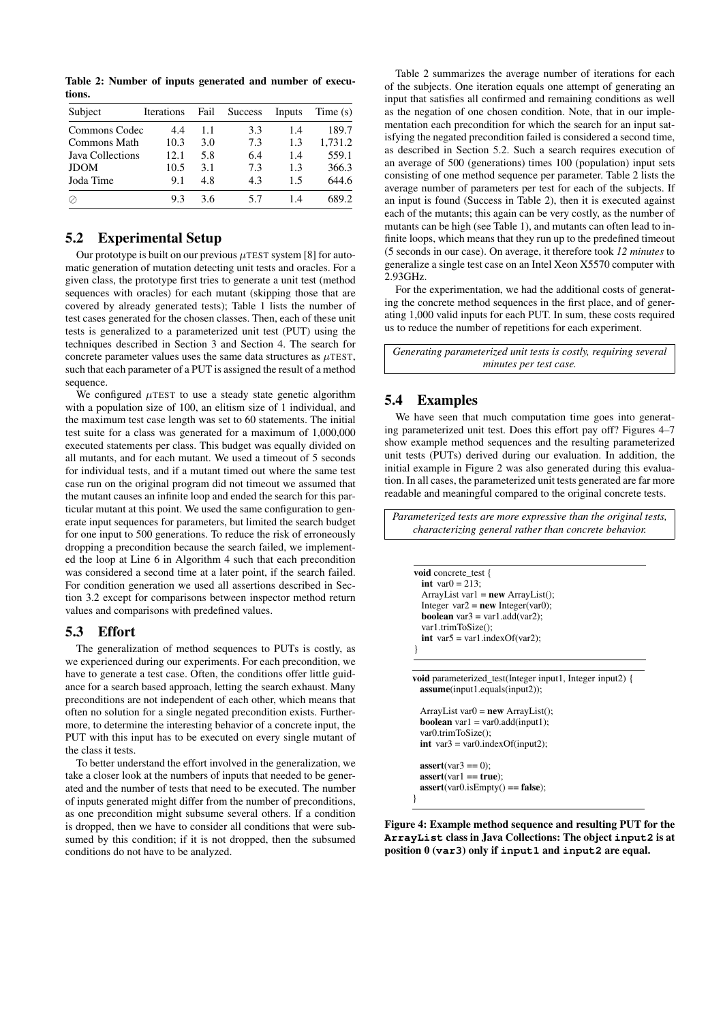| Subject          | Iterations | Fail | <b>Success</b> | Inputs | Time $(s)$ |
|------------------|------------|------|----------------|--------|------------|
| Commons Codec    | 4.4        | 1.1  | 3.3            | 1.4    | 189.7      |
| Commons Math     | 10.3       | 3.0  | 7.3            | 1.3    | 1,731.2    |
| Java Collections | 12.1       | 5.8  | 6.4            | 1.4    | 559.1      |
| <b>JDOM</b>      | 10.5       | 3.1  | 7.3            | 1.3    | 366.3      |
| Joda Time        | 9.1        | 4.8  | 4.3            | 1.5    | 644.6      |
|                  | 9.3        | 3.6  | 5.7            | 14     | 689.2      |
|                  |            |      |                |        |            |

Table 2: Number of inputs generated and number of executions.

# 5.2 Experimental Setup

Our prototype is built on our previous  $\mu$ TEST system [8] for automatic generation of mutation detecting unit tests and oracles. For a given class, the prototype first tries to generate a unit test (method sequences with oracles) for each mutant (skipping those that are covered by already generated tests); Table 1 lists the number of test cases generated for the chosen classes. Then, each of these unit tests is generalized to a parameterized unit test (PUT) using the techniques described in Section 3 and Section 4. The search for concrete parameter values uses the same data structures as  $\mu$ TEST, such that each parameter of a PUT is assigned the result of a method sequence.

We configured  $\mu$ TEST to use a steady state genetic algorithm with a population size of 100, an elitism size of 1 individual, and the maximum test case length was set to 60 statements. The initial test suite for a class was generated for a maximum of 1,000,000 executed statements per class. This budget was equally divided on all mutants, and for each mutant. We used a timeout of 5 seconds for individual tests, and if a mutant timed out where the same test case run on the original program did not timeout we assumed that the mutant causes an infinite loop and ended the search for this particular mutant at this point. We used the same configuration to generate input sequences for parameters, but limited the search budget for one input to 500 generations. To reduce the risk of erroneously dropping a precondition because the search failed, we implemented the loop at Line 6 in Algorithm 4 such that each precondition was considered a second time at a later point, if the search failed. For condition generation we used all assertions described in Section 3.2 except for comparisons between inspector method return values and comparisons with predefined values.

## 5.3 Effort

The generalization of method sequences to PUTs is costly, as we experienced during our experiments. For each precondition, we have to generate a test case. Often, the conditions offer little guidance for a search based approach, letting the search exhaust. Many preconditions are not independent of each other, which means that often no solution for a single negated precondition exists. Furthermore, to determine the interesting behavior of a concrete input, the PUT with this input has to be executed on every single mutant of the class it tests.

To better understand the effort involved in the generalization, we take a closer look at the numbers of inputs that needed to be generated and the number of tests that need to be executed. The number of inputs generated might differ from the number of preconditions, as one precondition might subsume several others. If a condition is dropped, then we have to consider all conditions that were subsumed by this condition; if it is not dropped, then the subsumed conditions do not have to be analyzed.

Table 2 summarizes the average number of iterations for each of the subjects. One iteration equals one attempt of generating an input that satisfies all confirmed and remaining conditions as well as the negation of one chosen condition. Note, that in our implementation each precondition for which the search for an input satisfying the negated precondition failed is considered a second time, as described in Section 5.2. Such a search requires execution of an average of 500 (generations) times 100 (population) input sets consisting of one method sequence per parameter. Table 2 lists the average number of parameters per test for each of the subjects. If an input is found (Success in Table 2), then it is executed against each of the mutants; this again can be very costly, as the number of mutants can be high (see Table 1), and mutants can often lead to infinite loops, which means that they run up to the predefined timeout (5 seconds in our case). On average, it therefore took *12 minutes* to generalize a single test case on an Intel Xeon X5570 computer with 2.93GHz.

For the experimentation, we had the additional costs of generating the concrete method sequences in the first place, and of generating 1,000 valid inputs for each PUT. In sum, these costs required us to reduce the number of repetitions for each experiment.

*Generating parameterized unit tests is costly, requiring several minutes per test case.*

#### 5.4 Examples

}

We have seen that much computation time goes into generating parameterized unit test. Does this effort pay off? Figures 4–7 show example method sequences and the resulting parameterized unit tests (PUTs) derived during our evaluation. In addition, the initial example in Figure 2 was also generated during this evaluation. In all cases, the parameterized unit tests generated are far more readable and meaningful compared to the original concrete tests.

*Parameterized tests are more expressive than the original tests, characterizing general rather than concrete behavior.*

```
void concrete_test {
  int var0 - 213ArrayList var1 = new ArrayList();Integer var2 = new Integer(var0);
  boolean var3 = \text{var1}.add(var2);
  var1.trimToSize();
  int var5 = var1.indexOf(var2);
}
void parameterized test(Integer input1, Integer input2) {
 assume(input1.equals(input2));
  ArrayList var0 = new ArrayList();
 boolean var1 = var0.add(input1);
 var0.trimToSize();
 int var3 = \text{var0}.indexOf(input2);
 \textbf{assert}(var3 == 0);assert(var1 == true);assert(var0.isEmpty() == false);
```
Figure 4: Example method sequence and resulting PUT for the **ArrayList** class in Java Collections: The object **input2** is at position 0 (**var3**) only if **input1** and **input2** are equal.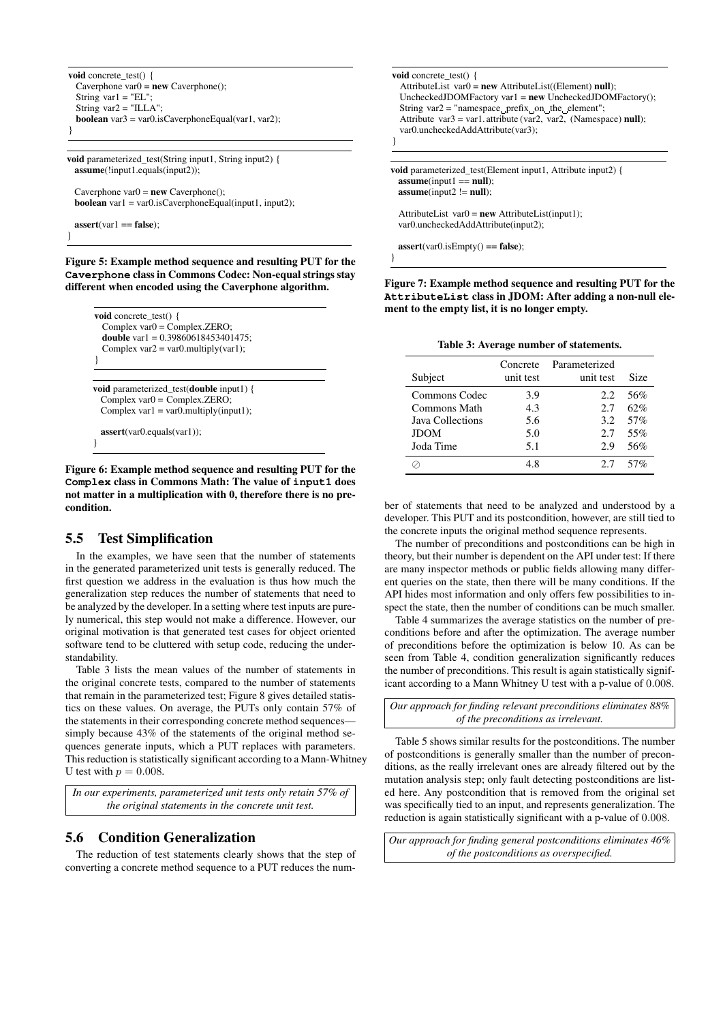```
void concrete_test() {
 Caverphone var0 = new Caverphone();
 String var1 = "EL";String var2 = "ILLA";
 boolean var3 = var0.isCaverphoneEqual(var1, var2);
}
```
void parameterized\_test(String input1, String input2) {  **equals(input2));** 

Caverphone var $0 = new$  Caverphone(); boolean var1 = var0.isCaverphoneEqual(input1, input2);

```
\textbf{assert}(var1 == false):
```
}

Figure 5: Example method sequence and resulting PUT for the **Caverphone** class in Commons Codec: Non-equal strings stay different when encoded using the Caverphone algorithm.

```
void concrete_test() {
  Complex var0 = Complex.ZERO;
  double var1 = 0.39860618453401475;
  Complex var2 = var0.multiply(var1);
}
void parameterized_test(double input1) {
 Complex \, var0 = Complex \, ZERO;
 Complex var1 = var0.multiply(input1);
 assert(var0.equals(var1));
}
```
Figure 6: Example method sequence and resulting PUT for the **Complex** class in Commons Math: The value of **input1** does not matter in a multiplication with 0, therefore there is no precondition.

# 5.5 Test Simplification

In the examples, we have seen that the number of statements in the generated parameterized unit tests is generally reduced. The first question we address in the evaluation is thus how much the generalization step reduces the number of statements that need to be analyzed by the developer. In a setting where test inputs are purely numerical, this step would not make a difference. However, our original motivation is that generated test cases for object oriented software tend to be cluttered with setup code, reducing the understandability.

Table 3 lists the mean values of the number of statements in the original concrete tests, compared to the number of statements that remain in the parameterized test; Figure 8 gives detailed statistics on these values. On average, the PUTs only contain 57% of the statements in their corresponding concrete method sequences simply because 43% of the statements of the original method sequences generate inputs, which a PUT replaces with parameters. This reduction is statistically significant according to a Mann-Whitney U test with  $p = 0.008$ .

```
In our experiments, parameterized unit tests only retain 57% of
        the original statements in the concrete unit test.
```
# 5.6 Condition Generalization

The reduction of test statements clearly shows that the step of converting a concrete method sequence to a PUT reduces the num-

| <b>void</b> concrete test() {                                               |  |
|-----------------------------------------------------------------------------|--|
| AttributeList var $0 = new$ AttributeList((Element) null);                  |  |
| UncheckedJDOMFactory var1 = $new$ UncheckedJDOMFactory();                   |  |
| String $var2 = "namespace$ prefix on the element";                          |  |
| Attribute var $3 = \text{var1}$ . attribute (var2, var2, (Namespace) null); |  |
| var0.uncheckedAddAttribute(var3);                                           |  |
|                                                                             |  |

void parameterized test(Element input1, Attribute input2) {  $\mathbf{assume}(\text{input1} == \text{null});$  $$ 

AttributeList var0 = new AttributeList(input1); var0.uncheckedAddAttribute(input2);

 $assert(var0.isEmpty() == false);$ 

}

Figure 7: Example method sequence and resulting PUT for the **AttributeList** class in JDOM: After adding a non-null element to the empty list, it is no longer empty.

| Table 3: Average number of statements. |  |  |  |
|----------------------------------------|--|--|--|
|----------------------------------------|--|--|--|

| Subject          | Concrete<br>unit test | Parameterized<br>unit test | <b>Size</b> |
|------------------|-----------------------|----------------------------|-------------|
| Commons Codec    | 3.9                   | 2.2.                       | 56%         |
| Commons Math     | 4.3                   | 2.7                        | 62%         |
| Java Collections | 5.6                   | 3.2                        | 57%         |
| <b>JDOM</b>      | 5.0                   | 2.7                        | 55%         |
| Joda Time        | 5.1                   | 2.9                        | 56%         |
|                  | 48                    | 27                         | 57%         |

ber of statements that need to be analyzed and understood by a developer. This PUT and its postcondition, however, are still tied to the concrete inputs the original method sequence represents.

The number of preconditions and postconditions can be high in theory, but their number is dependent on the API under test: If there are many inspector methods or public fields allowing many different queries on the state, then there will be many conditions. If the API hides most information and only offers few possibilities to inspect the state, then the number of conditions can be much smaller.

Table 4 summarizes the average statistics on the number of preconditions before and after the optimization. The average number of preconditions before the optimization is below 10. As can be seen from Table 4, condition generalization significantly reduces the number of preconditions. This result is again statistically significant according to a Mann Whitney U test with a p-value of 0.008.

*Our approach for finding relevant preconditions eliminates 88% of the preconditions as irrelevant.*

Table 5 shows similar results for the postconditions. The number of postconditions is generally smaller than the number of preconditions, as the really irrelevant ones are already filtered out by the mutation analysis step; only fault detecting postconditions are listed here. Any postcondition that is removed from the original set was specifically tied to an input, and represents generalization. The reduction is again statistically significant with a p-value of 0.008.

*Our approach for finding general postconditions eliminates 46% of the postconditions as overspecified.*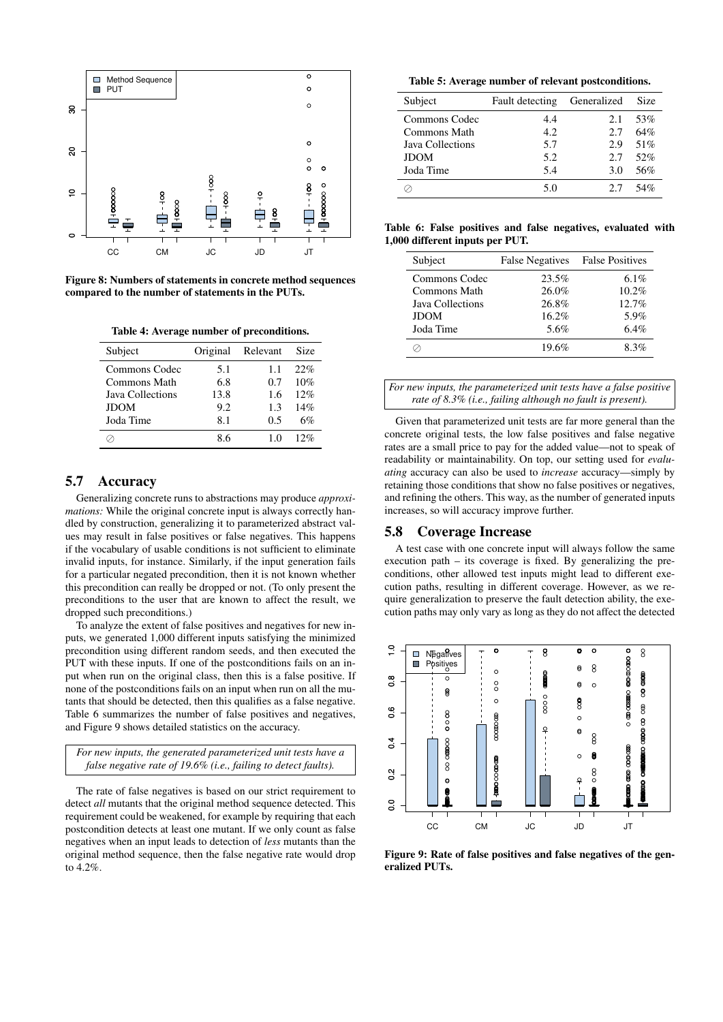

Figure 8: Numbers of statements in concrete method sequences compared to the number of statements in the PUTs.

Table 4: Average number of preconditions.

| Subject          | Original | Relevant | Size |
|------------------|----------|----------|------|
| Commons Codec    | 5.1      | 1.1      | 22%  |
| Commons Math     | 6.8      | 0.7      | 10%  |
| Java Collections | 13.8     | 1.6      | 12%  |
| <b>JDOM</b>      | 9.2      | 1.3      | 14%  |
| Joda Time        | 8.1      | 0.5      | 6%   |
|                  | 86       | 10       | 12%  |

#### 5.7 Accuracy

Generalizing concrete runs to abstractions may produce *approximations:* While the original concrete input is always correctly handled by construction, generalizing it to parameterized abstract values may result in false positives or false negatives. This happens if the vocabulary of usable conditions is not sufficient to eliminate invalid inputs, for instance. Similarly, if the input generation fails for a particular negated precondition, then it is not known whether this precondition can really be dropped or not. (To only present the preconditions to the user that are known to affect the result, we dropped such preconditions.)

To analyze the extent of false positives and negatives for new inputs, we generated 1,000 different inputs satisfying the minimized precondition using different random seeds, and then executed the PUT with these inputs. If one of the postconditions fails on an input when run on the original class, then this is a false positive. If none of the postconditions fails on an input when run on all the mutants that should be detected, then this qualifies as a false negative. Table 6 summarizes the number of false positives and negatives, and Figure 9 shows detailed statistics on the accuracy.

*For new inputs, the generated parameterized unit tests have a false negative rate of 19.6% (i.e., failing to detect faults).*

The rate of false negatives is based on our strict requirement to detect *all* mutants that the original method sequence detected. This requirement could be weakened, for example by requiring that each postcondition detects at least one mutant. If we only count as false negatives when an input leads to detection of *less* mutants than the original method sequence, then the false negative rate would drop to 4.2%.

Table 5: Average number of relevant postconditions.

| Subject          | Fault detecting | Generalized | Size |
|------------------|-----------------|-------------|------|
| Commons Codec    | 4.4             | 2.1         | 53%  |
| Commons Math     | 4.2.            | 2.7         | 64%  |
| Java Collections | 5.7             | 2.9         | 51%  |
| <b>JDOM</b>      | 5.2             | 2.7         | 52%  |
| Joda Time        | 5.4             | 3.0         | 56%  |
|                  | 50              | 27          | 54%  |

Table 6: False positives and false negatives, evaluated with 1,000 different inputs per PUT.

| Subject          | <b>False Negatives</b> | <b>False Positives</b> |
|------------------|------------------------|------------------------|
| Commons Codec    | 23.5%                  | 6.1%                   |
| Commons Math     | 26.0%                  | 10.2%                  |
| Java Collections | 26.8%                  | 12.7%                  |
| <b>JDOM</b>      | 16.2%                  | 5.9%                   |
| Joda Time        | 5.6%                   | 6.4%                   |
|                  | 19.6%                  | 8.3%                   |

*For new inputs, the parameterized unit tests have a false positive rate of 8.3% (i.e., failing although no fault is present).*

Given that parameterized unit tests are far more general than the concrete original tests, the low false positives and false negative rates are a small price to pay for the added value—not to speak of readability or maintainability. On top, our setting used for *evaluating* accuracy can also be used to *increase* accuracy—simply by retaining those conditions that show no false positives or negatives, and refining the others. This way, as the number of generated inputs increases, so will accuracy improve further.

## 5.8 Coverage Increase

A test case with one concrete input will always follow the same execution path – its coverage is fixed. By generalizing the preconditions, other allowed test inputs might lead to different execution paths, resulting in different coverage. However, as we require generalization to preserve the fault detection ability, the execution paths may only vary as long as they do not affect the detected



Figure 9: Rate of false positives and false negatives of the generalized PUTs.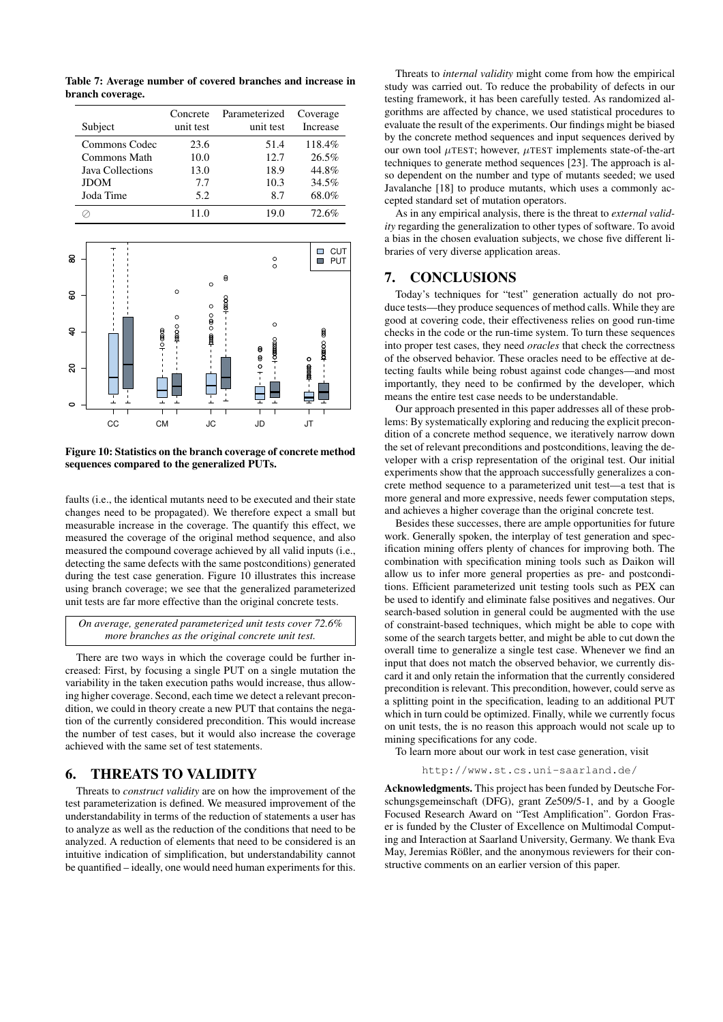Concrete Parameterized Coverage Subject unit test unit test Increase Commons Codec 23.6 51.4 118.4%<br>
Commons Math 10.0 12.7 26.5% Commons Math Java Collections 13.0 18.9 44.8%  $JDOM$  7.7 10.3 34.5% Joda Time 5.2 8.7 68.0%  $\oslash$  11.0 19.0 72.6% **D** CUT င္စ  $\frac{0}{0}$ 0 20 40 60 80 **PUT**  $\mathbf{c}$  $\epsilon$ 8  $- - - - - - - - \circ$  $\frac{0}{0}$  $\circ$  $\mathsf{a}$ ₿ ន  $\circ$ CC CM JC JD JT

Table 7: Average number of covered branches and increase in branch coverage.

Figure 10: Statistics on the branch coverage of concrete method sequences compared to the generalized PUTs.

faults (i.e., the identical mutants need to be executed and their state changes need to be propagated). We therefore expect a small but measurable increase in the coverage. The quantify this effect, we measured the coverage of the original method sequence, and also measured the compound coverage achieved by all valid inputs (i.e., detecting the same defects with the same postconditions) generated during the test case generation. Figure 10 illustrates this increase using branch coverage; we see that the generalized parameterized unit tests are far more effective than the original concrete tests.

*On average, generated parameterized unit tests cover 72.6% more branches as the original concrete unit test.*

There are two ways in which the coverage could be further increased: First, by focusing a single PUT on a single mutation the variability in the taken execution paths would increase, thus allowing higher coverage. Second, each time we detect a relevant precondition, we could in theory create a new PUT that contains the negation of the currently considered precondition. This would increase the number of test cases, but it would also increase the coverage achieved with the same set of test statements.

## 6. THREATS TO VALIDITY

Threats to *construct validity* are on how the improvement of the test parameterization is defined. We measured improvement of the understandability in terms of the reduction of statements a user has to analyze as well as the reduction of the conditions that need to be analyzed. A reduction of elements that need to be considered is an intuitive indication of simplification, but understandability cannot be quantified – ideally, one would need human experiments for this.

Threats to *internal validity* might come from how the empirical study was carried out. To reduce the probability of defects in our testing framework, it has been carefully tested. As randomized algorithms are affected by chance, we used statistical procedures to evaluate the result of the experiments. Our findings might be biased by the concrete method sequences and input sequences derived by our own tool  $\mu$ TEST; however,  $\mu$ TEST implements state-of-the-art techniques to generate method sequences [23]. The approach is also dependent on the number and type of mutants seeded; we used Javalanche [18] to produce mutants, which uses a commonly accepted standard set of mutation operators.

As in any empirical analysis, there is the threat to *external validity* regarding the generalization to other types of software. To avoid a bias in the chosen evaluation subjects, we chose five different libraries of very diverse application areas.

## 7. CONCLUSIONS

Today's techniques for "test" generation actually do not produce tests—they produce sequences of method calls. While they are good at covering code, their effectiveness relies on good run-time checks in the code or the run-time system. To turn these sequences into proper test cases, they need *oracles* that check the correctness of the observed behavior. These oracles need to be effective at detecting faults while being robust against code changes—and most importantly, they need to be confirmed by the developer, which means the entire test case needs to be understandable.

Our approach presented in this paper addresses all of these problems: By systematically exploring and reducing the explicit precondition of a concrete method sequence, we iteratively narrow down the set of relevant preconditions and postconditions, leaving the developer with a crisp representation of the original test. Our initial experiments show that the approach successfully generalizes a concrete method sequence to a parameterized unit test—a test that is more general and more expressive, needs fewer computation steps, and achieves a higher coverage than the original concrete test.

Besides these successes, there are ample opportunities for future work. Generally spoken, the interplay of test generation and specification mining offers plenty of chances for improving both. The combination with specification mining tools such as Daikon will allow us to infer more general properties as pre- and postconditions. Efficient parameterized unit testing tools such as PEX can be used to identify and eliminate false positives and negatives. Our search-based solution in general could be augmented with the use of constraint-based techniques, which might be able to cope with some of the search targets better, and might be able to cut down the overall time to generalize a single test case. Whenever we find an input that does not match the observed behavior, we currently discard it and only retain the information that the currently considered precondition is relevant. This precondition, however, could serve as a splitting point in the specification, leading to an additional PUT which in turn could be optimized. Finally, while we currently focus on unit tests, the is no reason this approach would not scale up to mining specifications for any code.

To learn more about our work in test case generation, visit

```
http://www.st.cs.uni-saarland.de/
```
Acknowledgments. This project has been funded by Deutsche Forschungsgemeinschaft (DFG), grant Ze509/5-1, and by a Google Focused Research Award on "Test Amplification". Gordon Fraser is funded by the Cluster of Excellence on Multimodal Computing and Interaction at Saarland University, Germany. We thank Eva May, Jeremias Rößler, and the anonymous reviewers for their constructive comments on an earlier version of this paper.